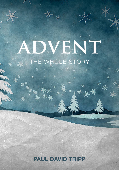# DVENT THE WHOLE STORY

ans

### PAUL DAVID TRIPP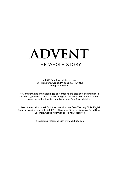## **ADVENT** THE WHOLE STORY

© 2013 Paul Tripp Ministries, Inc. 7214 Frankford Avenue, Philadelphia, PA 19135 All Rights Reserved.

You are permitted and encouraged to reproduce and distribute this material in any format, provided that you do not charge for the material or alter the content in any way without written permission from Paul Tripp Ministries.

Unless otherwise indicated, Scripture quotations are from The Holy Bible, English Standard Version, copyright © 2001 by Crossway Bibles, a division of Good News Publishers. Used by permission. All rights reserved.

For additional resources, visit www.paultripp.com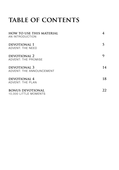### TABLE OF CONTENTS

| <b>HOW TO USE THIS MATERIAL</b><br>AN INTRODUCTION |    |
|----------------------------------------------------|----|
| DEVOTIONAL 1<br>ADVENT: THE NEED                   |    |
| DEVOTIONAL 2<br>ADVENT: THE PROMISE                |    |
| DEVOTIONAL 3<br>ADVENT: THE ANNOUNCEMENT           | 14 |
| DEVOTIONAL 4<br>ADVENT: THE PLAN                   | 18 |
| <b>BONUS DEVOTIONAL</b><br>10,000 LITTLE MOMENTS   | 22 |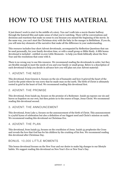## **how to use this material**

It just doesn't work to start in the middle of a story. You can't walk into a movie theater halfway through the featured film and make sense of what you're watching. There will be conversations and decisions and reactions that make no sense to you because you missed the beginning of the movie. In the same way, you can't start the Christmas story with the baby in the manger in Bethlehem. If you do, you will miss key elements of the narrative that make all the difference in your understanding.

This resource includes four short Advent devotionals, accompanied by Reflection Questions that can be used personally, for your family devotion time, or with a small group or Bible Study. A fifth bonus devotional is included - entitled 10,000 Little Moments - to help you think biblically about the New Year and the resolutions that come with it.

There is no wrong way to use this resource. We recommend reading the devotionals in order, but they are flexible enough to meet the needs of you and your family or small group. Below is a description of each devotional to help you decide in advance how you will plan out your Advent material:

#### 1. ADVENT: THE NEED

This devotional, from Genesis 6, focuses on the sin of humanity and how it grieved the heart of the Lord to the point where he was sorry that he made man on the earth. The birth of Christ is ultimately rooted in grief in the heart of God. We recommend reading this devotional first.

#### 2. ADVENT: THE PROMISE

This devotional, from Isaiah 59, focuses on the promise of a Redeemer. Isaiah 59 exposes our sin and leaves us hopeless on our own, but then points us to the source of hope, Jesus Christ. We recommend reading this devotional second.

#### 3. ADVENT: THE ANNOUNCEMENT

This devotional, from Luke 2, focuses on the announcement of the birth of Christ. This announcement is a joyful hymn of celebration but also a definition of our biggest need and Christ's mission on earth. We recommend reading this devotional on Christmas Eve.

#### 4. ADVENT: THE PLAN

This devotional, from Isaiah 53, focuses on the crucifixion of Jesus. Isaiah 53 prophesies the Cross and reveals the love that God has for his children by the crushing of his Son. We recommend reading this devotional after Christmas Day.

#### BONUS. 10,000 LITTLE MOMENTS

This bonus devotional focuses on the New Year and our desire to make big changes to our lifestyle habits. We suggest reading this devotional on New Year's Eve or New Year's Day.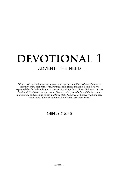## DEVOTIONAL 1 ADVENT: THE NEED

*"5 The Lord saw that the wickedness of man was great in the earth, and that every*  intention of the thoughts of his heart was only evil continually. 6 And the Lord *regretted that he had made man on the earth, and it grieved him to his heart. 7 So the*  Lord said, "I will blot out man whom I have created from the face of the land, man *and animals and creeping things and birds of the heavens, for I am sorry that I have made them." 8 But Noah found favor in the eyes of the Lord."*

#### **GENESIS 6:5-8**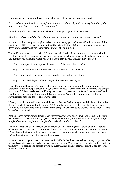Could you get any more graphic, more specific, more all-inclusive words than these?

*"The Lord saw that the wickedness of man was great in the earth, and that every intention of the thoughts of his heart was only evil continually."*

Immediately after, you have what may be the saddest passage in all of Scripture.

*"And the Lord regretted that he had made man on the earth, and it grieved him to his heart."*

What makes this passage so graphic and so sad? I'm deeply persuaded we will only understand the significance of this passage if we understand the original intent of God's creation and how far this description has strayed from that original intent. Let's take a look:

You and I were created to love God. We were hardwired to live in an intimate relationship with the Creator that would shape every motive, every desire, every choice, every word, and every action. If at any moment you asked me what I was doing, I could say to you, "Because I love my God."

Why do you speak to your spouse the way you do? Because I love my God.

Why do you treat your children the way you do? Because I love my God.

Why do you spend your money the way you do? Because I love my God.

Why do you schedule your life the way you do? Because I love my God.

Love of God was the plan. We were created to recognize his existence and his grandeur and his authority. In acts of deeply personal love, we would choose to serve him with all our time and energy, and it wouldn't be a hassle. We would obey because of our personal love for God. Because we loved God the lawgiver, we would find joy in following his laws. We would find joy in serving him and staying inside his boundaries. That was the plan.

It's very clear that something went terribly wrong. Love of God no longer ruled the heart of man. But this is important to understand - Genesis 6:5-8 didn't signal the end of love in the heart of man. Human beings never stop loving. Every human being is hardwired to be a lover. The question is: what love rules your heart?

At the deepest, most profound level of your existence, you love, and you will either love God or you will love yourself. 2 Corinthians 5:15 says, *"And he died for all, that those who live might no longer live for themselves but for him who for their sake died and was raised."* 

The thing that always replaces love of God is love of self. The thing that leads to an endless catalog of evil is always love of self. You and I will find a way to insert ourselves into the center of our world. We're obsessed with our will; we want to be sovereign over our own lives; we want to set the rules; we're addicted to our own pleasure and happiness.

What makes marriage so hard? You have two individuals that love themselves. Very quickly, that selflove will escalate to conflict. What makes parenting so hard? You have given birth to children that love themselves. As soon as you start to give them rules that rub against their desires, that self-love will escalate to conflict.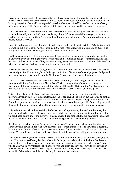Every act of murder and violence is rooted in self-love. Every moment of greed is rooted in self-love. Every word of gossip and slander is rooted in self-love. Every act of adulterous desire is rooted in selflove. By Genesis 6, the world had exploded into chaos because this self-love ruled the heart of every man, woman, and child. The same self-love still rules today; all you need to do is watch the news.

This is why the heart of the Lord was grieved. His beautiful creation, designed to live in an eternally loving relationship with their Creator, had betrayed him. When you read this passage, you should see the tears in the eyes of God. You should hear the weeping in his voice. This adulterous betrayal is deeply personal for God.

How did God respond to this ultimate betrayal? The story doesn't hesitate to tell us. "*So the Lord said, "I will blot out man whom I have created from the face of the land, man and animals and creeping things and birds of the heavens, for I am sorry that I have made them."*

God has seen enough. He lovingly and personally designed every element in creation to provide humanity with every good thing they ever would want and could never design for themselves, and they betrayed his love. So in an act of holy justice - not ugly vengeance - God sent the waters of the flood to wipe the earth clean. God had every right to blot out mankind.

It seems like a tragic end to the story, doesn't it? Thankfully, the story doesn't end there. Genesis 6 has a verse eight: *"But Noah found favor in the eyes of the Lord."* In an act of sovereign grace, God placed his saving favor on Noah and his family. Noah wasn't deserving; God was zealously loving.

If you read past the covenant God makes with Noah (Genesis 9:1-17) to the geneaolgies of Noah's sons, you will find a familiar name - Abram (11:26). God changes Abram's name and makes a covenant with him, promising to bless all the nations of the earth (22:18). In the New Testament, the Apostle Paul alerts us to the fact that the seed of Abraham is Jesus Christ (Galatians 3:16).

This is what Advent is all about. God was personally grieved by the betrayal of his creation, but motivated by an even greater personal love. Instead of sending a flood to blot out the earth, he sent his Son to be exposed to all the harsh realities of life in a fallen world. Despite daily pain and temptation, Jesus lived perfectly to provide the ultimate sacrifice that we could never provide. In so doing, he paid the penalty for sin in full, quenching the wrath of God and restoring hope to the entire universe.

This redemptive work of the Messiah is both an event and a process. By his work on the cross, the power of sin has been forever broken. He made a public spectacle of the enemy, triumphing over him; we don't need to live under the slavery of sin any longer. But a battle still rages, because the presence of sin still remains. It's being eradicated by sanctifying grace, but it's an ongoing process.

So when you reflect on Genesis 6, you need to be honest. There are times when your thoughts are shaped by love of God...but not always. There are times when things we desire flow from a heart that loves the Lord...but not always. There are times when act from a pure heart that loves God...but not always. You and I gave empirical evidence this week that the war of love still goes on in our hearts.

This Advent season, you need to embrace the sad reality that your heart is still prone to betraying the Lord. You love yourself everyday. But Advent is also a glorious celebration of the hope that is ours, represented by that baby in a manger who has come on a mission of rescue and deliverance. There will be a day when every microbe of sin is destroyed and every cell in your soul will be controlled by the love of God. Look forward to that day, because when it comes, it will never expire. You will live inside God's boundaries and live for his glory forever and ever and ever.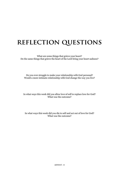### **reflection questions**

What are some things that grieve your heart? Do the same things that grieve the heart of the Lord bring your heart sadness?

Do you ever struggle to make your relationship with God personal? Would a more intimate relationship with God change the way you live?

In what ways this week did you allow love of self to replace love for God? What was the outcome?

#### In what ways this week did you die to self and act out of love for God? What was the outcome?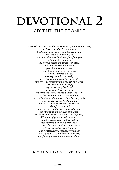## DEVOTIONAL 2 ADVENT: THE PROMISE

*1 Behold, the Lord's hand is not shortened, that it cannot save, or his ear dull, that it cannot hear; 2 but your iniquities have made a separation between you and your God, and your sins have hidden his face from you so that he does not hear. 3 For your hands are defiled with blood and your fingers with iniquity; your lips have spoken lies; your tongue mutters wickedness. 4 No one enters suit justly; no one goes to law honestly; they rely on empty pleas, they speak lies, they conceive mischief and give birth to iniquity. 5 They hatch adders' eggs; they weave the spider's web; he who eats their eggs dies, and from one that is crushed a viper is hatched. 6 Their webs will not serve as clothing; men will not cover themselves with what they make. Their works are works of iniquity, and deeds of violence are in their hands. 7 Their feet run to evil, and they are swift to shed innocent blood; their thoughts are thoughts of iniquity; desolation and destruction are in their highways. 8 The way of peace they do not know, and there is no justice in their paths; they have made their roads crooked; no one who treads on them knows peace. 9 Therefore justice is far from us, and righteousness does not overtake us; we hope for light, and behold, darkness, and for brightness, but we walk in gloom.*

#### **(continued on next page...)**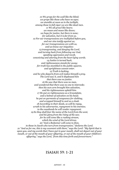*10 We grope for the wall like the blind; we grope like those who have no eyes; we stumble at noon as in the twilight, among those in full vigor we are like dead men. 11 We all growl like bears; we moan and moan like doves; we hope for justice, but there is none; for salvation, but it is far from us. 12 For our transgressions are multiplied before you, and our sins testify against us; for our transgressions are with us, and we know our iniquities: 13 transgressing, and denying the Lord, and turning back from following our God, speaking oppression and revolt, conceiving and uttering from the heart lying words. 14 Justice is turned back, and righteousness stands far away; for truth has stumbled in the public squares, and uprightness cannot enter. 15 Truth is lacking, and he who departs from evil makes himself a prey. The Lord saw it, and it displeased him that there was no justice. 16 He saw that there was no man, and wondered that there was no one to intercede; then his own arm brought him salvation, and his righteousness upheld him. 17 He put on righteousness as a breastplate, and a helmet of salvation on his head; he put on garments of vengeance for clothing, and wrapped himself in zeal as a cloak. 18 According to their deeds, so will he repay, wrath to his adversaries, repayment to his enemies; to the coastlands he will render repayment. 19 So they shall fear the name of the Lord from the west, and his glory from the rising of the sun; for he will come like a rushing stream, which the wind of the Lord drives. 20 "And a Redeemer will come to Zion,*

*to those in Jacob who turn from transgression," declares the Lord. 21 "And as for me, this is my covenant with them," says the Lord: "My Spirit that is upon you, and my words that I have put in your mouth, shall not depart out of your mouth, or out of the mouth of your offspring, or out of the mouth of your children's offspring," says the Lord, "from this time forth and forevermore."*

#### **ISAIAH 59: 1-21**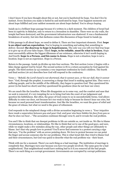I don't know if you have thought about this or not, but you're hardwired for hope. You don't live by instinct. Every decision you make is fueled by and motivated by hope. Your happiest moments are about hope fulfilled and your saddest moments are about hope dashed. You're always hoping.

Isaiah 59 is a brilliant hope passage because it's written in a dark moment. The children of Israel had been in captivity in Babylon, only to return to a Jerusalem in shambles. There were no city walls, the temple had been destroyed, and the government infrastructure was shattered. It was a fundamental breakdown of society, but into that darkness comes this discussion of hope found in Isaiah 59.

If this passage is all about hope, we need to define it. There are four important elements. First: **hope is an object and an expectation.** You're hoping in something and asking that something to deliver. Second: **the doorway to hope is hopelessness.** The only way you will ever find true hope is to give up on all your false hopes. Third: **hope, to be reliable, must fix what is broken.** Hope must successfully address the biggest dilemmas of our existence, otherwise it isn't worth hoping in. And fourth: **hope is a Person, and his name is Jesus.** Hope is not a situation; hope is not a location; hope is not an experience. Hope is a Person.

Return to the pasasge. Isaiah 59 divides up into four sections. The first section (verse 1) begins with a false charge against God by Israel. The second section (2-8) is a return accusation by God against his people. The third section (9-15) contains a very important confession by God's children. The fourth and final section (16-20) describes how God will respond to the confession.

Verse 1 - *"Behold, the Lord's hand is not shortened, that it cannot save, or his ear dull, that it cannot hear."* God, through the prophet, is answering a charge that Israel is making against him. They were a suffering people, and in the middle of the difficulty, they began to question God. They questioned his power (is his hand too short) and they questioned his goodness (does he not hear our cries).

We are much like the Israelites. When life disappoints us in some way, and the comfort and ease that we seek is removed, it's very tempting for us to bring God into the court of our judgement and question his faithfulness. But often, the grace of God comes to us in uncomfortable forms. God allows difficulty to enter our door, not because he's too weak to help or because he doesn't hear our cries, but because we need personal heart transformation. Just like the Israelites, we want the grace of relief and the grace of release, but what we need is the grace of refinement.

God responds to the misplaced charge with a divine accusation beginning in verse 2. *"Your iniquities have made a separation between you and your God, and your sins have hidden his face from you so that he does not hear..."* The accusation continues through verse 8, and it reveals the real problem.

You and I like to think that our deeepst problems in life are outside us, not inside us. We like to blame circumstances, locations, or relationships. We like to think that we're one of the good guys, and sure, while we might make a few mistakes along the way, other people and other things are ultimately to blame. Isn't that why people love to protest? You'll never find someone in a protest carrying a sign that says, "I'm the problem" with an arrow pointing down. We love to protest because we can point the finger and accuse someone else for our problems. This is what Israel did; they tried to blame God and their cirucmstances, but God was quick to describe what the real problem was - their heart.

Think with me for a moment. There's no such thing as a bad marriage. The institution of marriage is completely fine. Marriages turn sour because you have two people involved. The same goes for a bad neighborhood. That neighborhood would have nothing bad in it if you removed all the bad people. There's no such thing as a corrupt government. Governments are corrupted by corrupt politicians.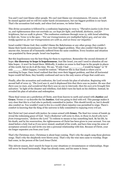You and I can't just blame other people. We can't just blame our circumstances. Of course, we will be sinned against and we will live under harsh circumstances, but our biggest problem is our heart. That's the accusation God made, and when God accuses, we better listen.

This divine accusation is followed by a confession beginning in verse 9. "*Therefore justice is far from us, and righteousness does not overtake us; we hope for light, and behold, darkness, and for brightness, but we walk in gloom."* The confession continues through verse 15, with Israel admitting to their sin. Verse 12 is the apex - "*For our transgressions are multiplied before you, and our sins testify against us; for our transgressions are with us, and we know our iniquities."* 

Israel couldn't blame God; they couldn't blame the Babylonians or any other group; they couldn't blame their harsh circumstances. They were their biggest problem. They also couldn't find hope in anyone else, because all of humanity suffered from the same condition. Every location and situation was populated by these people. Israel was hopeless.

But this hopelessness was the best thing for them to experience. Remember the second elements of hope: **the doorway to hope is hopelessness.** Just like Israel, you and I need to abandon all our false hopes - it won't be found there. Biblically, it makes no sense to find hope in the people in places of this world, but we do it all the time. We say, "If only I had \_\_\_\_\_\_\_\_\_, I would be happy" or "If only \_\_\_\_\_\_ didn't happen, I would be content." Whatever fills in that blank is where you're searching for hope. Once Israel realized that they were their biggest problem, and that all horizontal hopes would fail them, they humbly confessed and ran to the only source of hope that could save.

Finally, after the accusation and confession, the Lord reveals his plan of salvation. Beginning with second half of verse 15: *"The Lord saw it, and it displeased him that there was no justice. He saw that there was no man, and wondered that there was no one to intercede; then his own arm brought him salvation."* In light of the disaster and rebellion, God didn't turn his back on his children. Instead, he revealed his plan of salvation and redemption.

These final verses are a prediction of Christ, sent from heaven to earth and armed with **Justice** and **Grace.** Verses 17-19 describe the his **Justice.** God was going to deal with evil. This passage makes it very clear that this is a God who is perfectly committed to justice. This should terrify us, but it should also comfort us. You wouldn't want to live in a world where injustice was permitted to reign. There's comfort in knowing that the King of the universe is fully committed to repaying every evil act.

But Christ isn't just armed with justice; he comes armed with **Grace.** The final two verses of Isaiah 59 reveal the redeeming grace of God: *"And a Redeemer will come to Zion, to those in Jacob who turn from transgression," declares the Lord."* To redeem to means to buy something back. By his life, by his death, and by his resurrection, the righteousness of Christ has been given to your account. You can stand before a holy God as if you never sinned, unafraid of his wrath, and have him wrap his arms of acceptance around you and invite you into a personal relationship with him. Because of Christ, your sin longer separates you from your Lord.

That's the Christmas story. Christmas is about hope coming. That's why the angels sang those glorious songs. That's why the shepherds were blown away. That's why the wise men came to worship. Hope had come, in the person of the Lord Jesus Christ.

This Advent season, don't search for hope in your situations or circumstances or relationships. Hope will never be found horizontally. Hope has already come, and his name is Jesus.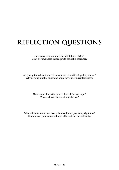### **reflection questions**

Have you ever questioned the faithfulness of God? What circumstances caused you to doubt his character?

Are you quick to blame your circumstances or relationships for your sin? Why do you point the finger and argue for your own righteousness?

> Name some things that your culture defines as hope? Why are these sources of hope flawed?

What difficult circumstances or relationships are you facing right now? How is Jesus your source of hope in the midst of this difficulty?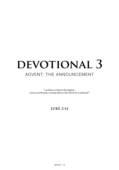## DEVOTIONAL 3 ADVENT: THE ANNOUNCEMENT

*"14 Glory to God in the highest, and on earth peace among those with whom he is pleased!"*

#### **LUKE 2:14**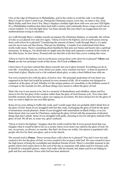I live at the edge of Chinatown in Philadelphia, and in the winter to avoid the cold, I cut through Macy's to get to where I need to go. During the Christmas season, every day, six times a day, from Black Friday until New Year's Eve, Macy's displays a holiday light show with over 100,000 LED lights. It's a Philadelphia tradition that dates back half a century and continually draws a huge crowd, but as a local resident, I've seen the light show 722 times already this year (that's an exaggeration for you mathematicians trying to calculate).

As I walk through Macy's, holiday sounds accompany the Christmas displays, so naturally, the refrain of Luke 2:14 is played over and over again. "*Glory to God in the highest, and on earth peace among those with whom he is pleased!"* Considering the amount of times I walk through Macy's, it's quite easy for me to tune out this chorus. That got me thinking - I wonder if we understand what these words really mean. There's something about familiarity that puts our brains and hearts into a spiritual monotone. In doing so, I'm afraid that we might miss the deep and expansive content of the words of this little hymn. So slow down. Pretend with me that this is the first time you're reading this verse.

"*Glory to God in the highest, and on earth peace among those with whom he is pleased!"* **Glory** and **Peace** are the two principal words of this hymn. We'll look at **Glory** first.

I don't know if you have noticed this about yourself, but you're glory focused. Everything you do in your life - everything you say, every choice you make, every reaction you have - is done in pursuit of some kind of glory. Maybe you're a bit confused about glory, so take a short biblical tour with me.

You were created to live with the glory of God in view. The principal motivation of your heart was supposed to be that God would be praised in every moment of life. All of creation was designed to remind us of the glory of God. Whether it's the unique pattern of a snowflake or the brilliant sound of a trumpet or the warmth of a fire, all those things were meant to reflect the glory of God.

That's the way it was meant to be, but in a moment of disobedience and rebellion, Adam and Eve chose to live for the glory of the creation rather than the glory of God (Genesis 3:6). Ever since that horrible moment, there has been a glory war raging on our hearts. We don't always live for the glory of God; we want to fight for our own little glories.

Some of you were sitting in traffic this week, and I would wager that you probably didn't think first of the glory of God. Some of you struggled with lust this week, exchanging the glory of God for the glory of momentary sexual pleasure. Some of you struggled with materialism on Black Friday, or as you think about what you want for Christmas, replacing the glory of God with the possession of physical things that don't satisfy. Some of you struggled with pride, choosing to live for self-glory instead of the glory of God. We all are, in some way, glory confused.

*"Glory to God in the highest."* Imagine what the world would be like if every person lived that way. Imagine what it would be like to live in a society where every heart was ruled by the glory of God. No war, no poverty, no divorce, no murder. But that's far from our reality. Our planet is populated with people who live for their own glory, and so is the church.

The second word is **Peace.** *"Peace among those with whom he is pleased!"* You and I were not only created to live for the glory of God; we were created to live at peace with God. We were created to have the high honor of being the worshipful and obedient friends of God. There's a horrible moment in the garden where God comes down in the cool of the day to commune with Adam and Eve (Genesis 3:8). It should be a beautiful picture, where God walks with his friends, but Adam and Eve are hiding in guilt and fear and shame. Peace with God has been shattered.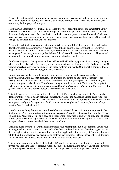Peace with God would also allow us to have peace within, not because we're strong or wise or know what will happen next, but because we have an intimate relationship with the One who rules over everything for his glory and our good.

I love the Old Testament word "shalom" because it pictures something more fundamental than just the absence of conflict. It pictures that all things are in their proper order and are working the way they were designed to work. Peace with God results in personal peace of heart. But we don't always have that. We experience anxienty or anger or frustartion or depression or hopelesness. Our hearts all struggle to find rest. Shalom has been shattered.

Peace with God finally means peace with others. When you and I don't have peace with God, and we don't have peace inside ourselves, it makes it very difficult to live at peace with others. Our lives become marked by conflict. I don't think anyone reading this has lived a conflict-free 2013. In fact, I would go as far as to say that you probably haven't lived a conflict-free December 2013. All you need to do is watch the news to know that peace with others has been shattered.

*"And on earth peace..."* Imagine what the world would be like if every person lived that way. Imagine what it would be like to live in a society where every heart was ruled by peace with God and others. No war, no poverty, no divorce, no murder. But that's far from our reality. Our planet is populated with people who live for their own glory, and so is the church.

Now, if you have a **Glory** problem (which you do), and if you have a **Peace** problem (which you do), then what you have is a **Heart** problem. Yes, traffic is frustrating and the sexual insanity of our society doesn't help, and yes, your child is often disobedient and your spouse is often difficult, but your biggest problem is still you. There's something broken in your heart. That's why David gets it right when he prays, *"Create in me a clean heart, O God, and renew a right spirit within me."* (Psalm 51:10). What we need is radical, personal, permanent heart-change.

This little hymn is a celebration of the baby's birth, but it's so much more than that. These words define our biggest need, and in defining our need, they define the mission of Christ. The prophecies of his coming are very clear that Jesus will address this issue: *"And I will give you a new heart, and a new spirit I will put within you. And I will remove the heart of stone from your flesh and give you a heart of flesh."* (Ezekiel 36:26).

There's another thing these words do - they define the price of Christ's mission. It's captured in that final phrase, *"Peace among those with whom he is pleased!"* A different translation could be, *"Peace on whom his favor is placed,"* or *"Peace to those to whom his grace is given."* The only hope of peace is grace, and the vehicle of grace is a death. You won't fully understand the weight of the baby in the manger unless you know that the baby came to be a Lamb.

This little hymn from the heavenly host announces your redemption, but it also reminds you of your ongoing need for grace. While the power of sin has been broken, freeing you from bondage to all the little self-glories that used to rule your life, you still struggle to live for the glory of God everyday. And while the ultimate sacrifice has been paid so that you can experience eternal peace with God, but you still struggle to live at peace within and live at peace with others everyday.

This Advent season, remember that the birth of Christ frees you from living for little glories and invites you into a much more glorious kingdom. And remember that the birth of Christ not only gives you eternal peace with God, but enables you to live at peace within and at peace with others.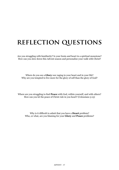## **reflection questions**

Are you struggling with familiarity? Is your brain and heart in a spiritual monotone? How can you slow down this Advent season and personalize your walk with Christ?

Where do you see a **Glory** war raging in your heart and in your life? Why are you tempted to live more for the glory of self than the glory of God?

Where are you struggling to find **Peace** with God, within yourself, and with others? How can you let the peace of Christ rule in you heart? (Colossians 3:15)

Why is it difficult to admit that you have a **Heart** problem? Who, or what, are you blaming for your **Glory** and **Peace** problems?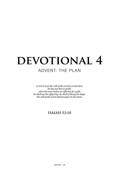**ADVENT - 18**

## DEVOTIONAL 4 ADVENT: THE PLAN

*10 Yet it was the will of the Lord to crush him; he has put him to grief; when his soul makes an offering for guilt, he shall see his offspring; he shall prolong his days; the will of the Lord shall prosper in his hand.*

#### **ISAIAH 53:10**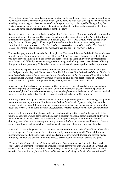We love Top 10 lists. They populate our social media, sports highlights, celebrity magazines and blogs. As we round out this Advent devotional, I want you to come up with your own Top 10 list. Write down ten things that bring you pleasure. Some of the things on my Top 10 list, specifically regarding the Christmas season, would be the variety of cookies available, decorating my tree, cooking Christmas meals, and having all our children together for the holidays.

Save your list for later; there's a Reflection Question for it at the end. For now, here's what you need to understand about pleasure and Christmas: everything we have considered in this Advent devotional is connected to pleasure in the heart of God. Isaiah 53:10 - *"Yet it was the will of the Lord to crush him; he has put him to grief."* I like using other translations for this verse, because they use a variation of the word **pleasure** *- "But the Lord was pleased to crush Him, putting Him to grief"*  (NASB) or *"Yet it pleased the Lord to bruise Him; He has put Him to grief"* (NKJV).

You need to get your mind around this radical phrase. How could it be that God the Father would ever find pleasure in the crushing and the grief of his Son? If you're a parent, think of the protective heart you have for your children. You don't want any harm to come to them, and you try to protect them from danger and difficulty. You can't imagine them being crushed or grieved, nevertheless inflicting that pain on them personally. This radical verse is meant to make you stop short and ask questions.

What could be so powerfully motivating in the heart of the Father to make him crush his own Son, and find pleasure in his grief? The answer is found in John 3:16 - *"For God so loved the world, that he gave his only Son, that whoever believes in him should not perish but have eternal life."* God looked at relational separation between Creator and creation, and his grieved heart couldn't bear it any longer. Motivated by a deep and personal love, the only solution was to crush his Son.

Make sure you don't interpret the pleasure of God incorrectly. He's not a sadist or a masochist, one who enjoys giving or recieving physical pain. God didn't experience pleasure from the particular moments of physical and relational suffering. Rather, the pleasure of God was rooted in what resulted from the crushing and grief of Christ - a restored relationship between God and man.

For many of you, John 3:16 is a verse that can be found on your refrigerator, a coffee mug, or a picture frame somewhere in your house. You know that God *"so loved world;"* you probably learned this verse in Sunday school. But sometime next week or next month or next year, you will be tempted to doubt the love of God. In some circumstance, location, or relationship, you will have your questions.

Maybe it will be a moment of physical suffering, and you will question why God has permitted this pain to be your experience. Maybe it will be a very significant relational disappointment, and you will wonder why God led you to that relationship in the first place. Maybe in a moment of financial difficulty, even when you have sought to be a good steward of your money, you will have you doubts about why a loving God would choose to allow you to lose your job or your financial stability.

Maybe all it takes is for you to turn on the local news or read the international headlines. It looks like evil is prospering. Sex slaves and Internet pornography dominate your world. Young children are kidnapped. Unarmed citizens are executed by a tyrannical government. Cancer and disease ravage humanity. Hunger and poverty and homelessness are the reality for millions around the globe.

Where is God? Where is his love? How can a God who "*so loved the world"* actually allow this to be our reality? To answer these questions, we need to consider two words in Isaiah 53:10 - **Crush** and **Grief** - and then consider what the Apostle Paul says in Romans 8:32 - *"He who did not spare his own Son but have him up for us all, how will he not also with him graciously give us all things?"*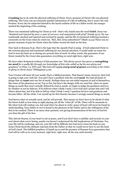**Crushing** has to do with the physical suffering of Christ. Every moment of Christ's life was physical suffering. The Cross was an extremely painful culmination of a life of suffering, but it wasn't his only location. Every day he subjected himself to the harsh realities of life in a fallen world; the manger marked the beginning of his crushing.

There was emotional suffering for Christ as well - that's why Isaiah uses the word **Grief.** Jesus was *"despised and rejected by men; a man of sorrows, and acquainted with grief"* (Isaiah 53:3). He was continually mocked and rejected and scorned by people, and his life of emotional suffering reached a crescendo on the Cross when he cried out, *"Eloi, Eloi, lema sabachtani?"* (Mark 15:34) There was no greater moment of pain for Christ when the Father turned his back on the Son.

Now back to Romans 8:32. Here's the logic that the Apostle Paul is using - if God subjected Christ to the extreme physical and emotional suffering for our eternal salvation, it would make no sense for God to turn his back on us during our present time of need. In other words, the guarantee of our future (sealed by the Cross) also guarantees everything we need right here, right now.

We have other Scriptural evidence of this promise too: *"His divine power has given us everything we need for a godly life through our knowledge of him who called us by his own glory and goodness"* (2 Peter 1:3, NIV) and *"My God will supply every need of yours according to his riches in glory in Christ Jesus"* (Philippians 4:19).

Your Creator will meet all your needs; that's a biblical promise. That doesn't mean, however, that God is going to sign your wish list. You and I have a problem with the word **need**. We load all kinds of things that we **want** onto our list of needs. Perhaps these are not sinful requests in and of themselves, like some of the pleasures on my Top 10 list, but here's the danger with our need list: when we name things as needs that aren't actually defined by God as needs, we begin to judge his goodness and love by whether or not he delivers. If he delivers what I think I need, I love God and I praise him and I tell others about him, but if he fails to deliver what I think I need, I question his love and goodness and become bitter. All the while, I set myself up for this disaster because I wrongly named things as needs.

God knows what we actually need, and he will provide. This means we don't have to be afraid of what the future holds or lose sleep at night playing out all the *"what ifs"* of life. There will be moments in life when God will confuse you, but read what I'm about to write: peace of heart will never be found in understanding. Your ability to rest is found in the pleasure of the Father and in the willingness of his Son to be crushed. There is no more clear-pointed, rest-giving demonstration of the love of God for you than the gift of his Son.

This Advent Season, if your heart is not at peace, and if you don't have a stability and security in your soul about what you're facing, maybe you haven't understood the full implications of Christmas. Yes, your life will be confusing, and yes, your life will be difficult, but God never turns his back on you. Jesus Christ faced the ultimate rejection from the Father so that we would never have to see the back of God's head. The fulfilled prophecy of Isaiah 53:10 and the promise of Romans 8:32 guarantees that God will be with us in every moment, right here, right now, all the way until eternity.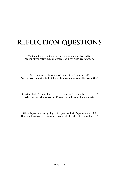### **reflection questions**

What physical or emotional pleasures populate your Top 10 list? Are you at risk of turning any of these God-given pleasures into idols?

Fill in the blank: "If only I had \_\_\_\_\_\_\_\_, then my life would be \_\_\_\_\_\_\_\_\_..... What are you defining as a need? Does the Bible name this as a need?

Where do you see brokenness in your life or in your world? Are you ever tempted to look at this brokenness and question the love of God?

Where is your heart struggling to find peace with God's plan for your life? How can the Advent season serve as a reminder to help put your soul to rest?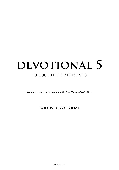## DEVOTIONAL 5 10,000 LITTLE MOMENTS

*Trading One Dramatic Resolution For Ten Thousand Little Ones*

#### **BONUS DEVOTIONAL**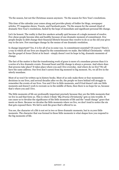'Tis the season, but not the Christmas season anymore. 'Tis the season for New Year's resolutions.

This time of the calendar year comes along and provides plenty of fodder for blogs, newspaper articles, TV magazine shows, Tweets, and Facebook posts. 'Tis the season for the annual ritual of dramatic New Year's resolutions, fueled by the hope of immediate and significant personal life change.

Let's be honest. The reality is that few smokers actually quit because of a single moment of resolve. Few obese people become slim and healthy because of one dramatic moment of commitment. Few people deeply in debt change their financial lifestyle because they resolve to do so as the old year gives way to the new. Few marriages change by the means of one dramatic resolution.

Is change important? Yes, it is for all of us in some way. Is commitment essential? Of course! There's a way in which all our lives are shaped by the commitments we make. But biblical Christianity - which has the gospel of Jesus Christ at its heart - simply doesn't rest its hope in big, dramatic moments of change.

The fact of the matter is that the transforming work of grace is more of a mundane process than it is a series of a few dramatic events. Personal heart and life change is always a process. And where does that process take place? It takes place where you and I live everyday. And where do we live? We all have the same address. Our lives don't careen from big moment to big moment. No, we all live in the utterly mundane.

Most of us won't be written up in history books. Most of us only make three or four momentous decisions in our lives, and several decades after we die, the people we leave behind will struggle to remember the events of our lives. You and I live in little moments, and if God doesn't rule our little moments and doesn't work to recreate us in the middle of them, then there is no hope for us, because that's where you and I live.

The little moments of life are profoundly important precisely because they are the little moments that we live in and that form us. This is where I think *"Big Drama Christianity"* gets us into trouble. It can cause us to devalue the significance of the little moments of life and the "small change" grace that meets us there. Because we devalue the little moments where we live, we don't tend to notice the sin that gets exposed there. We fail to seek the grace that's offered to us.

You see, the character of a life is not set in two or three dramatic moments, but in 10,000 little moments. The character that was formed in those little moments is what shapes how you respond to the big moments of life.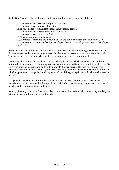**ADVENT - 24**

So if a New Year's resolution doesn't lead to significant personal change, what does?

- 10,000 moments of personal insight and conviction.
- 10,000 moments of humble submission.
- 10,000 moments of foolishness exposed and wisdom gained.
- 10,000 moments of sin confessed and sin forsaken.
- 10,000 moments of courageous faith.
- 10,000 choice points of obedience.
- 10,000 times of forsaking the kingdom of self and running toward the kingdom of God.
- 10,000 moments where we abandon worship of the creation and give ourselves to worship of the Creator.

And what makes all of this possible? Relentless, transforming, little-moment grace. You see, Jesus is Emmanuel not just because he came to earth, but because he makes you the place where he dwells. This means he is present and active in all the mundane moments of your daily life.

In these small moments he is delivering every redemptive promise he has made to you. In these unremarkable moments, he is working to rescue you from you and transform you into his likeness. By sovereign grace he places you in daily little moments that are designed to take you beyond your character, wisdom and grace so that you will seek the help and hope that can only be found in him. In a lifelong process of change, he is undoing you and rebuilding you again - exactly what each one of us needs!

Yes, you and I need to be committed to change, but not in a way that hopes for a big event of transformation, but in a way that finds joy in and is faithful to a day-by-day, step-by-step process of insight, confession, repentance and faith.

As 2013 gives way to 2014, wake up each day committed to live in the small moments of your daily life with open eyes and humbly expectant hearts.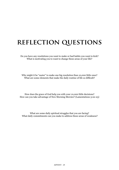### **reflection questions**

Do you have any resolutions you want to make or bad habits you want to kick? What is motivating you to want to change these areas of your life?

Why might it be "easier" to make one big resolution than 10,000 little ones? What are some elements that make the daily routine of life so difficult?

How does the grace of God help you with your 10,000 little decisions? How can you take advantage of New Morning Mercies? (Lamentations 3:22-23)

What are some daily spiritual struggles that you are facing? What daily commitments can you make to address these areas of weakness?